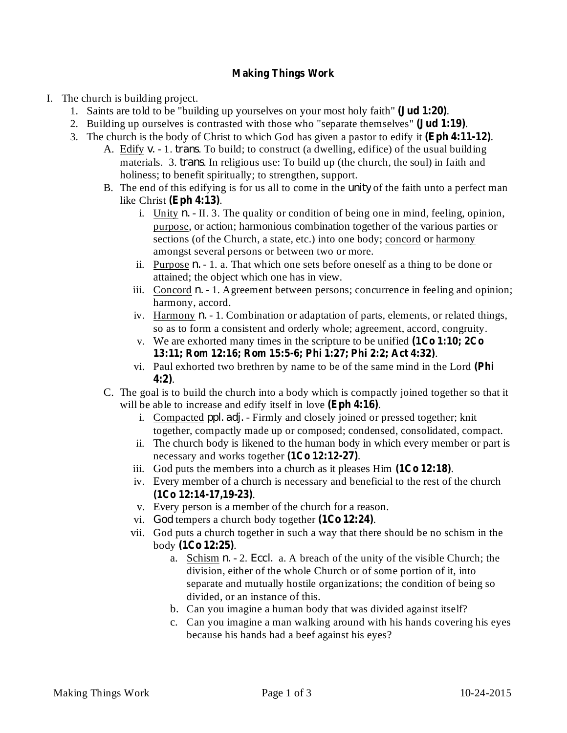## **Making Things Work**

- I. The church is building project.
	- 1. Saints are told to be "building up yourselves on your most holy faith" (**Jud 1:20**).
	- 2. Building up ourselves is contrasted with those who "separate themselves" (**Jud 1:19**).
	- 3. The church is the body of Christ to which God has given a pastor to edify it (Eph 4:11-12).
		- A. Edify v. 1. *trans*. To build; to construct (a dwelling, edifice) of the usual building materials. 3. *trans*. In religious use: To build up (the church, the soul) in faith and holiness; to benefit spiritually; to strengthen, support.
		- B. The end of this edifying is for us all to come in the *unity* of the faith unto a perfect man like Christ (Eph 4:13).
			- i. Unity  $n. II. 3$ . The quality or condition of being one in mind, feeling, opinion, purpose, or action; harmonious combination together of the various parties or sections (of the Church, a state, etc.) into one body; concord or harmony amongst several persons or between two or more.
			- ii. Purpose  $n 1$ . a. That which one sets before oneself as a thing to be done or attained; the object which one has in view.
			- iii. Concord  $n. 1$ . Agreement between persons; concurrence in feeling and opinion; harmony, accord.
			- iv. Harmony *n.* 1. Combination or adaptation of parts, elements, or related things, so as to form a consistent and orderly whole; agreement, accord, congruity.
			- v. We are exhorted many times in the scripture to be unified **(1Co 1:10; 2Co** . **13:11; Rom 12:16; Rom 15:5-6; Phi 1:27; Phi 2:2; Act 4:32)**
			- vi. Paul exhorted two brethren by name to be of the same mind in the Lord **(Phi** . **4:2)**
		- C. The goal is to build the church into a body which is compactly joined together so that it will be able to increase and edify itself in love (Eph 4:16).
			- i. Compacted *ppl. adj.* Firmly and closely joined or pressed together; knit together, compactly made up or composed; condensed, consolidated, compact.
			- ii. The church body is likened to the human body in which every member or part is necessary and works together  $(1Co 12:12-27)$ .
			- iii. God puts the members into a church as it pleases  $\text{Him}$   $(1\text{Co }12:18)$ .
			- iv. Every member of a church is necessary and beneficial to the rest of the church . **(1Co 12:14-17,19-23)**
			- v. Every person is a member of the church for a reason.
			- vi. God tempers a church body together  $(1C_0 12:24)$ .
			- vii. God puts a church together in such a way that there should be no schism in the body . **(1Co 12:25)**
				- a. **Schism n.**  $-2$ . *Eccl.* a. A breach of the unity of the visible Church; the division, either of the whole Church or of some portion of it, into separate and mutually hostile organizations; the condition of being so divided, or an instance of this.
				- b. Can you imagine a human body that was divided against itself?
				- c. Can you imagine a man walking around with his hands covering his eyes because his hands had a beef against his eyes?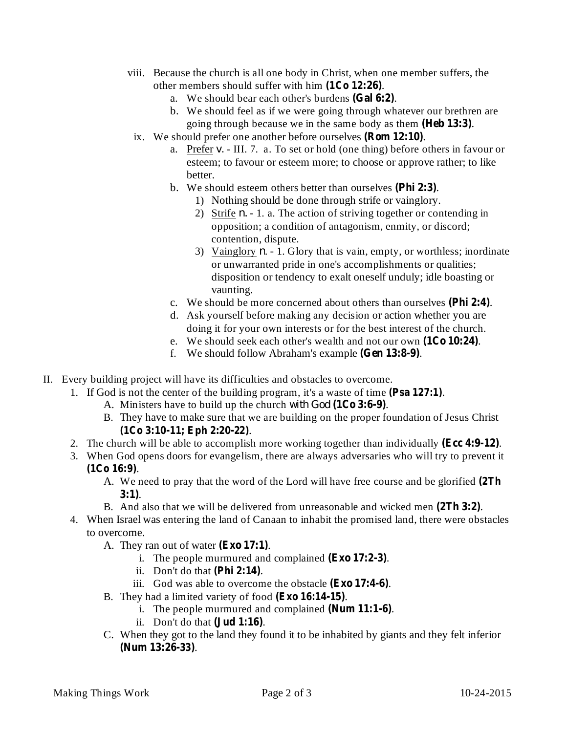- viii. Because the church is all one body in Christ, when one member suffers, the other members should suffer with him  $(1Co 12:26)$ .
	- a. We should bear each other's burdens (Gal 6:2).
	- b. We should feel as if we were going through whatever our brethren are going through because we in the same body as them (Heb 13:3).
	- ix. We should prefer one another before ourselves (**Rom 12:10**).
		- a. Prefer v. III. 7. a. To set or hold (one thing) before others in favour or esteem; to favour or esteem more; to choose or approve rather; to like better.
		- b. We should esteem others better than ourselves (Phi 2:3).
			- 1) Nothing should be done through strife or vainglory.
			- 2) Strife  $n 1$ . a. The action of striving together or contending in opposition; a condition of antagonism, enmity, or discord; contention, dispute.
			- 3) Vainglory  $n 1$ . Glory that is vain, empty, or worthless; inordinate or unwarranted pride in one's accomplishments or qualities; disposition or tendency to exalt oneself unduly; idle boasting or vaunting.
		- c. We should be more concerned about others than ourselves (Phi 2:4).
		- d. Ask yourself before making any decision or action whether you are doing it for your own interests or for the best interest of the church.
		- e. We should seek each other's wealth and not our own (1Co 10:24).
		- f. We should follow Abraham's example (Gen 13:8-9).
- II. Every building project will have its difficulties and obstacles to overcome.
	- 1. If God is not the center of the building program, it's a waste of time (Psa 127:1).
		- A. Ministers have to build up the church with God (1Co 3:6-9).
		- B. They have to make sure that we are building on the proper foundation of Jesus Christ . **(1Co 3:10-11; Eph 2:20-22)**
	- 2. The church will be able to accomplish more working together than individually (Ecc 4:9-12).
	- 3. When God opens doors for evangelism, there are always adversaries who will try to prevent it . **(1Co 16:9)**
		- A. We need to pray that the word of the Lord will have free course and be glorified **(2Th** . **3:1)**
		- B. And also that we will be delivered from unreasonable and wicked men (2Th 3:2).
	- 4. When Israel was entering the land of Canaan to inhabit the promised land, there were obstacles to overcome.
		- A. They ran out of water (Exo 17:1).
			- i. The people murmured and complained  $(Exo 17:2-3)$ .
			- ii. Don't do that  $(Phi 2:14)$ .
			- iii. God was able to overcome the obstacle (Exo 17:4-6).
		- B. They had a limited variety of food (Exo 16:14-15).
			- i. The people murmured and complained (Num 11:1-6).
			- ii. Don't do that  $(\mathbf{Jud} 1:16)$ .
		- C. When they got to the land they found it to be inhabited by giants and they felt inferior . **(Num 13:26-33)**